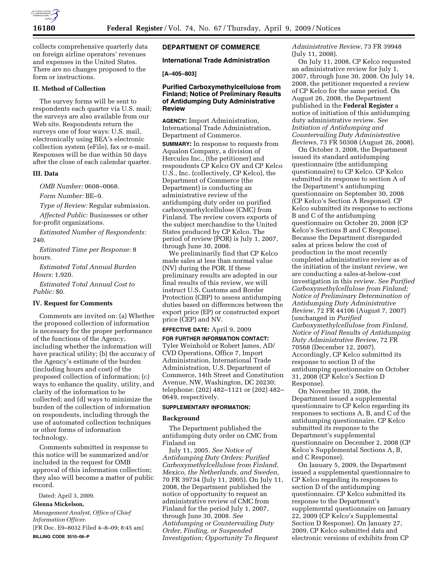

collects comprehensive quarterly data on foreign airline operators' revenues and expenses in the United States. There are no changes proposed to the form or instructions.

# **II. Method of Collection**

The survey forms will be sent to respondents each quarter via U.S. mail; the surveys are also available from our Web site. Respondents return the surveys one of four ways: U.S. mail, electronically using BEA's electronic collection system (eFile), fax or e-mail. Responses will be due within 50 days after the close of each calendar quarter.

## **III. Data**

*OMB Number:* 0608–0068.

*Form Number:* BE–9.

*Type of Review:* Regular submission.

*Affected Public:* Businesses or other for-profit organizations.

*Estimated Number of Respondents:*  240.

*Estimated Time per Response:* 8 hours.

*Estimated Total Annual Burden Hours:* 1,920.

*Estimated Total Annual Cost to Public:* \$0.

## **IV. Request for Comments**

Comments are invited on: (a) Whether the proposed collection of information is necessary for the proper performance of the functions of the Agency, including whether the information will have practical utility; (b) the accuracy of the Agency's estimate of the burden (including hours and cost) of the proposed collection of information; (c) ways to enhance the quality, utility, and clarity of the information to be collected; and (d) ways to minimize the burden of the collection of information on respondents, including through the use of automated collection techniques or other forms of information technology.

Comments submitted in response to this notice will be summarized and/or included in the request for OMB approval of this information collection; they also will become a matter of public record.

Dated: April 3, 2009.

**Glenna Mickelson,** 

*Management Analyst, Office of Chief Information Officer.* 

[FR Doc. E9–8032 Filed 4–8–09; 8:45 am] **BILLING CODE 3510–06–P** 

# **DEPARTMENT OF COMMERCE**

## **International Trade Administration**

## **[A–405–803]**

## **Purified Carboxymethylcellulose from Finland; Notice of Preliminary Results of Antidumping Duty Administrative Review**

**AGENCY:** Import Administration, International Trade Administration, Department of Commerce.

**SUMMARY:** In response to requests from Aqualon Company, a division of Hercules Inc., (the petitioner) and respondents CP Kelco OY and CP Kelco U.S., Inc. (collectively, CP Kelco), the Department of Commerce (the Department) is conducting an administrative review of the antidumping duty order on purified carboxymethylcellulose (CMC) from Finland. The review covers exports of the subject merchandise to the United States produced by CP Kelco. The period of review (POR) is July 1, 2007, through June 30, 2008.

We preliminarily find that CP Kelco made sales at less than normal value (NV) during the POR. If these preliminary results are adopted in our final results of this review, we will instruct U.S. Customs and Border Protection (CBP) to assess antidumping duties based on differences between the export price (EP) or constructed export price (CEP) and NV.

## **EFFECTIVE DATE:** April 9, 2009

**FOR FURTHER INFORMATION CONTACT:**  Tyler Weinhold or Robert James, AD/ CVD Operations, Office 7, Import Administration, International Trade Administration, U.S. Department of Commerce, 14th Street and Constitution Avenue, NW, Washington, DC 20230; telephone: (202) 482–1121 or (202) 482– 0649, respectively.

# **SUPPLEMENTARY INFORMATION:**

## **Background**

The Department published the antidumping duty order on CMC from Finland on

July 11, 2005. *See Notice of Antidumping Duty Orders: Purified Carboxymethylcellulose from Finland, Mexico, the Netherlands, and Sweden*, 70 FR 39734 (July 11, 2005). On July 11, 2008, the Department published the notice of opportunity to request an administrative review of CMC from Finland for the period July 1, 2007, through June 30, 2008. *See Antidumping or Countervailing Duty Order, Finding, or Suspended Investigation; Opportunity To Request* 

*Administrative Review*, 73 FR 39948 (July 11, 2008).

On July 11, 2008, CP Kelco requested an administrative review for July 1, 2007, through June 30, 2008. On July 14, 2008, the petitioner requested a review of CP Kelco for the same period. On August 26, 2008, the Department published in the **Federal Register** a notice of initiation of this antidumping duty administrative review. *See Initiation of Antidumping and Countervailing Duty Administrative Reviews*, 73 FR 50308 (August 26, 2008).

On October 3, 2008, the Department issued its standard antidumping questionnaire (the antidumping questionnaire) to CP Kelco. CP Kelco submitted its response to section A of the Department's antidumping questionnaire on September 30, 2008 (CP Kelco's Section A Response). CP Kelco submitted its response to sections B and C of the antidumping questionnaire on October 20, 2008 (CP Kelco's Sections B and C Response). Because the Department disregarded sales at prices below the cost of production in the most recently completed administrative review as of the initiation of the instant review, we are conducting a sales-at-below-cost investigation in this review. *See Purified Carboxymethylcellulose from Finland; Notice of Preliminary Determination of Antidumping Duty Administrative Review*, 72 FR 44106 (August 7, 2007) (unchanged in *Purified Carboxymethylcellulose from Finland, Notice of Final Results of Antidumping Duty Administrative Review*, 72 FR 70568 (December 12, 2007). Accordingly, CP Kelco submitted its response to section D of the antidumping questionnaire on October 31, 2008 (CP Kelco's Section D Response).

On November 10, 2008, the Department issued a supplemental questionnaire to CP Kelco regarding its responses to sections A, B, and C of the antidumping questionnaire. CP Kelco submitted its response to the Department's supplemental questionnaire on December 2, 2008 (CP Kelco's Supplemental Sections A, B, and C Response).

On January 5, 2009, the Department issued a supplemental questionnaire to CP Kelco regarding its responses to section D of the antidumping questionnaire. CP Kelco submitted its response to the Department's supplemental questionnaire on January 22, 2009 (CP Kelco's Supplemental Section D Response). On January 27, 2009, CP Kelco submitted data and electronic versions of exhibits from CP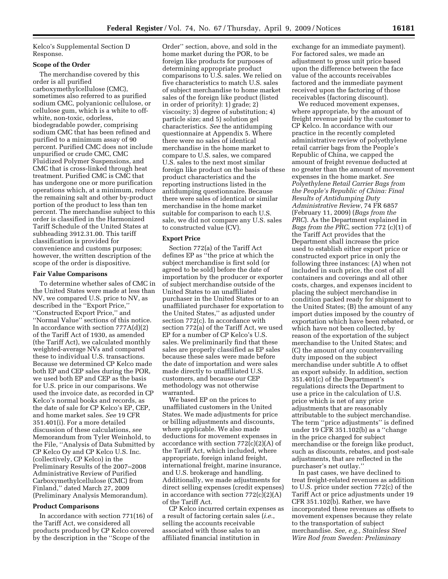Kelco's Supplemental Section D Response.

### **Scope of the Order**

The merchandise covered by this order is all purified carboxymethylcellulose (CMC), sometimes also referred to as purified sodium CMC, polyanionic cellulose, or cellulose gum, which is a white to offwhite, non-toxic, odorless, biodegradable powder, comprising sodium CMC that has been refined and purified to a minimum assay of 90 percent. Purified CMC does not include unpurified or crude CMC, CMC Fluidized Polymer Suspensions, and CMC that is cross-linked through heat treatment. Purified CMC is CMC that has undergone one or more purification operations which, at a minimum, reduce the remaining salt and other by-product portion of the product to less than ten percent. The merchandise subject to this order is classified in the Harmonized Tariff Schedule of the United States at subheading 3912.31.00. This tariff classification is provided for convenience and customs purposes; however, the written description of the scope of the order is dispositive.

## **Fair Value Comparisons**

To determine whether sales of CMC in the United States were made at less than NV, we compared U.S. price to NV, as described in the ''Export Price,'' ''Constructed Export Price,'' and ''Normal Value'' sections of this notice. In accordance with section 777A(d)(2) of the Tariff Act of 1930, as amended (the Tariff Act), we calculated monthly weighted-average NVs and compared these to individual U.S. transactions. Because we determined CP Kelco made both EP and CEP sales during the POR, we used both EP and CEP as the basis for U.S. price in our comparisons. We used the invoice date, as recorded in CP Kelco's normal books and records, as the date of sale for CP Kelco's EP, CEP, and home market sales. *See* 19 CFR 351.401(i). For a more detailed discussion of these calculations, *see*  Memorandum from Tyler Weinhold, to the File, ''Analysis of Data Submitted by CP Kelco Oy and CP Kelco U.S. Inc. (collectively, CP Kelco) in the Preliminary Results of the 2007–2008 Administrative Review of Purified Carboxymethylcellulose (CMC) from Finland,'' dated March 27, 2009 (Preliminary Analysis Memorandum).

## **Product Comparisons**

In accordance with section 771(16) of the Tariff Act, we considered all products produced by CP Kelco covered by the description in the ''Scope of the

Order'' section, above, and sold in the home market during the POR, to be foreign like products for purposes of determining appropriate product comparisons to U.S. sales. We relied on five characteristics to match U.S. sales of subject merchandise to home market sales of the foreign like product (listed in order of priority): 1) grade; 2) viscosity; 3) degree of substitution; 4) particle size; and 5) solution gel characteristics. *See* the antidumping questionnaire at Appendix 5. Where there were no sales of identical merchandise in the home market to compare to U.S. sales, we compared U.S. sales to the next most similar foreign like product on the basis of these product characteristics and the reporting instructions listed in the antidumping questionnaire. Because there were sales of identical or similar merchandise in the home market suitable for comparison to each U.S. sale, we did not compare any U.S. sales to constructed value (CV).

#### **Export Price**

Section 772(a) of the Tariff Act defines EP as ''the price at which the subject merchandise is first sold (or agreed to be sold) before the date of importation by the producer or exporter of subject merchandise outside of the United States to an unaffiliated purchaser in the United States or to an unaffiliated purchaser for exportation to the United States,'' as adjusted under section 772(c). In accordance with section 772(a) of the Tariff Act, we used EP for a number of CP Kelco's U.S. sales. We preliminarily find that these sales are properly classified as EP sales because these sales were made before the date of importation and were sales made directly to unaffiliated U.S. customers, and because our CEP methodology was not otherwise warranted.

We based EP on the prices to unaffiliated customers in the United States. We made adjustments for price or billing adjustments and discounts, where applicable. We also made deductions for movement expenses in accordance with section  $772(c)(2)(A)$  of the Tariff Act, which included, where appropriate, foreign inland freight, international freight, marine insurance, and U.S. brokerage and handling. Additionally, we made adjustments for direct selling expenses (credit expenses) in accordance with section  $772(c)(2)(A)$ of the Tariff Act.

CP Kelco incurred certain expenses as a result of factoring certain sales (*i.e.*, selling the accounts receivable associated with those sales to an affiliated financial institution in

exchange for an immediate payment). For factored sales, we made an adjustment to gross unit price based upon the difference between the face value of the accounts receivables factored and the immediate payment received upon the factoring of those receivables (factoring discount).

We reduced movement expenses, where appropriate, by the amount of freight revenue paid by the customer to CP Kelco. In accordance with our practice in the recently completed administrative review of polyethylene retail carrier bags from the People's Republic of China, we capped the amount of freight revenue deducted at no greater than the amount of movement expenses in the home market. *See Polyethylene Retail Carrier Bags from the People's Republic of China: Final Results of Antidumping Duty Administrative Review*, 74 FR 6857 (February 11, 2009) (*Bags from the PRC*). As the Department explained in *Bags from the PRC*, section 772 (c)(1) of the Tariff Act provides that the Department shall increase the price used to establish either export price or constructed export price in only the following three instances: (A) when not included in such price, the cost of all containers and coverings and all other costs, charges, and expenses incident to placing the subject merchandise in condition packed ready for shipment to the United States; (B) the amount of any import duties imposed by the country of exportation which have been rebated, or which have not been collected, by reason of the exportation of the subject merchandise to the United States; and (C) the amount of any countervailing duty imposed on the subject merchandise under subtitle A to offset an export subsidy. In addition, section 351.401(c) of the Department's regulations directs the Department to use a price in the calculation of U.S. price which is net of any price adjustments that are reasonably attributable to the subject merchandise. The term ''price adjustments'' is defined under 19 CFR 351.102(b) as a ''change in the price charged for subject merchandise or the foreign like product, such as discounts, rebates, and post-sale adjustments, that are reflected in the purchaser's net outlay.''

In past cases, we have declined to treat freight-related revenues as addition to U.S. price under section 772(c) of the Tariff Act or price adjustments under 19 CFR 351.102(b). Rather, we have incorporated these revenues as offsets to movement expenses because they relate to the transportation of subject merchandise. *See, e.g., Stainless Steel Wire Rod from Sweden: Preliminary*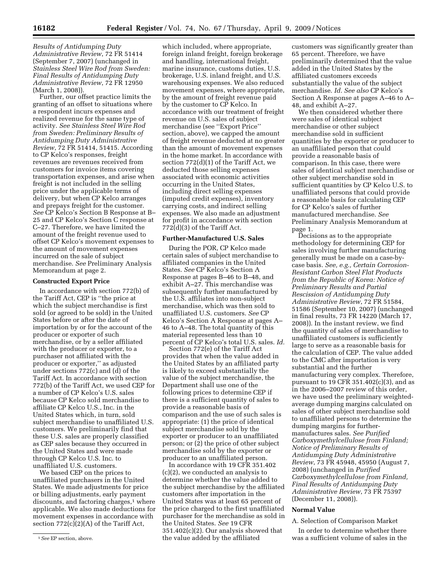*Results of Antidumping Duty Administrative Review*, 72 FR 51414 (September 7, 2007) (unchanged in *Stainless Steel Wire Rod from Sweden: Final Results of Antidumping Duty Administrative Review*, 72 FR 12950 (March 1, 2008)).

Further, our offset practice limits the granting of an offset to situations where a respondent incurs expenses and realized revenue for the same type of activity. *See Stainless Steel Wire Rod from Sweden: Preliminary Results of Antidumping Duty Administrative Review*, 72 FR 51414, 51415. According to CP Kelco's responses, freight revenues are revenues received from customers for invoice items covering transportation expenses, and arise when freight is not included in the selling price under the applicable terms of delivery, but when CP Kelco arranges and prepays freight for the customer. *See* CP Kelco's Section B Response at B– 25 and CP Kelco's Section C response at C–27. Therefore, we have limited the amount of the freight revenue used to offset CP Kelco's movement expenses to the amount of movement expenses incurred on the sale of subject merchandise. *See* Preliminary Analysis Memorandum at page 2.

### **Constructed Export Price**

In accordance with section 772(b) of the Tariff Act, CEP is ''the price at which the subject merchandise is first sold (or agreed to be sold) in the United States before or after the date of importation by or for the account of the producer or exporter of such merchandise, or by a seller affiliated with the producer or exporter, to a purchaser not affiliated with the producer or exporter,'' as adjusted under sections 772(c) and (d) of the Tariff Act. In accordance with section 772(b) of the Tariff Act, we used CEP for a number of CP Kelco's U.S. sales because CP Kelco sold merchandise to affiliate CP Kelco U.S., Inc. in the United States which, in turn, sold subject merchandise to unaffiliated U.S. customers. We preliminarily find that these U.S. sales are properly classified as CEP sales because they occurred in the United States and were made through CP Kelco U.S. Inc. to unaffiliated U.S. customers.

We based CEP on the prices to unaffiliated purchasers in the United States. We made adjustments for price or billing adjustments, early payment discounts, and factoring charges,<sup>1</sup> where applicable. We also made deductions for movement expenses in accordance with section 772(c)(2)(A) of the Tariff Act,

which included, where appropriate, foreign inland freight, foreign brokerage and handling, international freight, marine insurance, customs duties, U.S. brokerage, U.S. inland freight, and U.S. warehousing expenses. We also reduced movement expenses, where appropriate, by the amount of freight revenue paid by the customer to CP Kelco. In accordance with our treatment of freight revenue on U.S. sales of subject merchandise (see ''Export Price'' section, above), we capped the amount of freight revenue deducted at no greater than the amount of movement expenses in the home market. In accordance with section 772(d)(1) of the Tariff Act, we deducted those selling expenses associated with economic activities occurring in the United States, including direct selling expenses (imputed credit expenses), inventory carrying costs, and indirect selling expenses. We also made an adjustment for profit in accordance with section 772(d)(3) of the Tariff Act.

#### **Further-Manufactured U.S. Sales**

During the POR, CP Kelco made certain sales of subject merchandise to affiliated companies in the United States. *See* CP Kelco's Section A Response at pages B–46 to B–48, and exhibit A–27. This merchandise was subsequently further manufactured by the U.S. affiliates into non-subject merchandise, which was then sold to unaffiliated U.S. customers. *See* CP Kelco's Section A Response at pages A– 46 to A–48. The total quantity of this material represented less than 10 percent of CP Kelco's total U.S. sales. *Id.* 

Section 772(e) of the Tariff Act provides that when the value added in the United States by an affiliated party is likely to exceed substantially the value of the subject merchandise, the Department shall use one of the following prices to determine CEP if there is a sufficient quantity of sales to provide a reasonable basis of comparison and the use of such sales is appropriate: (1) the price of identical subject merchandise sold by the exporter or producer to an unaffiliated person; or (2) the price of other subject merchandise sold by the exporter or producer to an unaffiliated person.

In accordance with 19 CFR 351.402 (c)(2), we conducted an analysis to determine whether the value added to the subject merchandise by the affiliated customers after importation in the United States was at least 65 percent of the price charged to the first unaffiliated purchaser for the merchandise as sold in the United States. *See* 19 CFR 351.402(c)(2). Our analysis showed that the value added by the affiliated

customers was significantly greater than 65 percent. Therefore, we have preliminarily determined that the value added in the United States by the affiliated customers exceeds substantially the value of the subject merchandise. *Id. See also* CP Kelco's Section A Response at pages A–46 to A– 48, and exhibit A–27.

We then considered whether there were sales of identical subject merchandise or other subject merchandise sold in sufficient quantities by the exporter or producer to an unaffiliated person that could provide a reasonable basis of comparison. In this case, there were sales of identical subject merchandise or other subject merchandise sold in sufficient quantities by CP Kelco U.S. to unaffiliated persons that could provide a reasonable basis for calculating CEP for CP Kelco's sales of further manufactured merchandise. *See*  Preliminary Analysis Memorandum at page 1.

Decisions as to the appropriate methodology for determining CEP for sales involving further manufacturing generally must be made on a case-bycase basis. *See, e.g., Certain Corrosion-Resistant Carbon Steel Flat Products from the Republic of Korea: Notice of Preliminary Results and Partial Rescission of Antidumping Duty Administrative Review*, 72 FR 51584, 51586 (September 10, 2007) (unchanged in final results, 73 FR 14220 (March 17, 2008)). In the instant review, we find the quantity of sales of merchandise to unaffiliated customers is sufficiently large to serve as a reasonable basis for the calculation of CEP. The value added to the CMC after importation is very substantial and the further manufacturing very complex. Therefore, pursuant to 19 CFR 351.402 $(c)(3)$ , and as in the 2006–2007 review of this order, we have used the preliminary weightedaverage dumping margins calculated on sales of other subject merchandise sold to unaffiliated persons to determine the dumping margins for furthermanufactures sales. *See Purified Carboxymethylcellulose from Finland; Notice of Preliminary Results of Antidumping Duty Administrative Review*, 73 FR 45948, 45950 (August 7, 2008) (unchanged in *Purified Carboxymethylcellulose from Finland, Final Results of Antidumping Duty Administrative Review*, 73 FR 75397 (December 11, 2008)).

#### **Normal Value**

#### A. Selection of Comparison Market

In order to determine whether there was a sufficient volume of sales in the

<sup>1</sup>*See* EP section, above.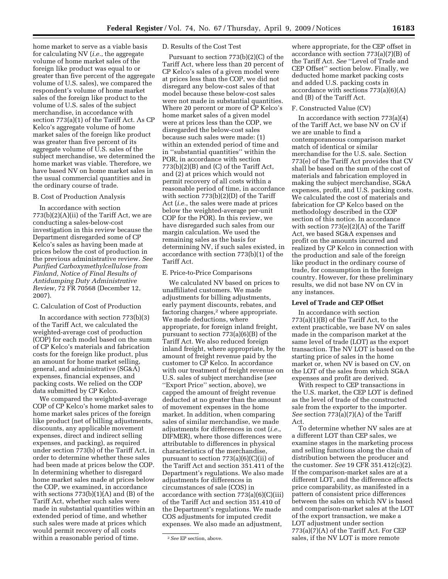home market to serve as a viable basis for calculating NV (*i.e.*, the aggregate volume of home market sales of the foreign like product was equal to or greater than five percent of the aggregate volume of U.S. sales), we compared the respondent's volume of home market sales of the foreign like product to the volume of U.S. sales of the subject merchandise, in accordance with section 773(a)(1) of the Tariff Act. As CP Kelco's aggregate volume of home market sales of the foreign like product was greater than five percent of its aggregate volume of U.S. sales of the subject merchandise, we determined the home market was viable. Therefore, we have based NV on home market sales in the usual commercial quantities and in the ordinary course of trade.

# B. Cost of Production Analysis

In accordance with section 773(b)(2)(A)(ii) of the Tariff Act, we are conducting a sales-below-cost investigation in this review because the Department disregarded some of CP Kelco's sales as having been made at prices below the cost of production in the previous administrative review. *See Purified Carboxymethylcellulose from Finland, Notice of Final Results of Antidumping Duty Administrative Review*, 72 FR 70568 (December 12, 2007).

## C. Calculation of Cost of Production

In accordance with section 773(b)(3) of the Tariff Act, we calculated the weighted-average cost of production (COP) for each model based on the sum of CP Kelco's materials and fabrication costs for the foreign like product, plus an amount for home market selling, general, and administrative (SG&A) expenses, financial expenses, and packing costs. We relied on the COP data submitted by CP Kelco.

We compared the weighted-average COP of CP Kelco's home market sales to home market sales prices of the foreign like product (net of billing adjustments, discounts, any applicable movement expenses, direct and indirect selling expenses, and packing), as required under section 773(b) of the Tariff Act, in order to determine whether these sales had been made at prices below the COP. In determining whether to disregard home market sales made at prices below the COP, we examined, in accordance with sections  $773(b)(1)(A)$  and  $(B)$  of the Tariff Act, whether such sales were made in substantial quantities within an extended period of time, and whether such sales were made at prices which would permit recovery of all costs within a reasonable period of time.

## D. Results of the Cost Test

Pursuant to section 773(b)(2)(C) of the Tariff Act, where less than 20 percent of CP Kelco's sales of a given model were at prices less than the COP, we did not disregard any below-cost sales of that model because these below-cost sales were not made in substantial quantities. Where 20 percent or more of CP Kelco's home market sales of a given model were at prices less than the COP, we disregarded the below-cost sales because such sales were made: (1) within an extended period of time and in ''substantial quantities'' within the POR, in accordance with section 773(b)(2)(B) and (C) of the Tariff Act, and (2) at prices which would not permit recovery of all costs within a reasonable period of time, in accordance with section 773(b)(2)(D) of the Tariff Act (*i.e.*, the sales were made at prices below the weighted-average per-unit COP for the POR). In this review, we have disregarded such sales from our margin calculation. We used the remaining sales as the basis for determining NV, if such sales existed, in accordance with section 773(b)(1) of the Tariff Act.

# E. Price-to-Price Comparisons

We calculated NV based on prices to unaffiliated customers. We made adjustments for billing adjustments, early payment discounts, rebates, and factoring charges,<sup>2</sup> where appropriate. We made deductions, where appropriate, for foreign inland freight, pursuant to section 773(a)(6)(B) of the Tariff Act. We also reduced foreign inland freight, where appropriate, by the amount of freight revenue paid by the customer to CP Kelco. In accordance with our treatment of freight revenue on U.S. sales of subject merchandise (*see*  ''Export Price'' section, above), we capped the amount of freight revenue deducted at no greater than the amount of movement expenses in the home market. In addition, when comparing sales of similar merchandise, we made adjustments for differences in cost (*i.e.*, DIFMER), where those differences were attributable to differences in physical characteristics of the merchandise, pursuant to section  $773(a)(6)(C)(ii)$  of the Tariff Act and section 351.411 of the Department's regulations. We also made adjustments for differences in circumstances of sale (COS) in accordance with section  $773(a)(6)(C)(iii)$ of the Tariff Act and section 351.410 of the Department's regulations. We made COS adjustments for imputed credit expenses. We also made an adjustment,

where appropriate, for the CEP offset in accordance with section 773(a)(7)(B) of the Tariff Act. *See* ''Level of Trade and CEP Offset'' section below. Finally, we deducted home market packing costs and added U.S. packing costs in accordance with sections 773(a)(6)(A) and (B) of the Tariff Act.

## F. Constructed Value (CV)

In accordance with section 773(a)(4) of the Tariff Act, we base NV on CV if we are unable to find a contemporaneous comparison market match of identical or similar merchandise for the U.S. sale. Section 773(e) of the Tariff Act provides that CV shall be based on the sum of the cost of materials and fabrication employed in making the subject merchandise, SG&A expenses, profit, and U.S. packing costs. We calculated the cost of materials and fabrication for CP Kelco based on the methodology described in the COP section of this notice. In accordance with section 773(e)(2)(A) of the Tariff Act, we based SG&A expenses and profit on the amounts incurred and realized by CP Kelco in connection with the production and sale of the foreign like product in the ordinary course of trade, for consumption in the foreign country. However, for these preliminary results, we did not base NV on CV in any instances.

## **Level of Trade and CEP Offset**

In accordance with section 773(a)(1)(B) of the Tariff Act, to the extent practicable, we base NV on sales made in the comparison market at the same level of trade (LOT) as the export transaction. The NV LOT is based on the starting price of sales in the home market or, when NV is based on CV, on the LOT of the sales from which SG&A expenses and profit are derived.

With respect to CEP transactions in the U.S. market, the CEP LOT is defined as the level of trade of the constructed sale from the exporter to the importer. *See* section 773(a)(7)(A) of the Tariff Act.

To determine whether NV sales are at a different LOT than CEP sales, we examine stages in the marketing process and selling functions along the chain of distribution between the producer and the customer. *See* 19 CFR 351.412(c)(2). If the comparison-market sales are at a different LOT, and the difference affects price comparability, as manifested in a pattern of consistent price differences between the sales on which NV is based and comparison-market sales at the LOT of the export transaction, we make a LOT adjustment under section 773(a)(7)(A) of the Tariff Act. For CEP sales, if the NV LOT is more remote

<sup>2</sup>*See* EP section, above.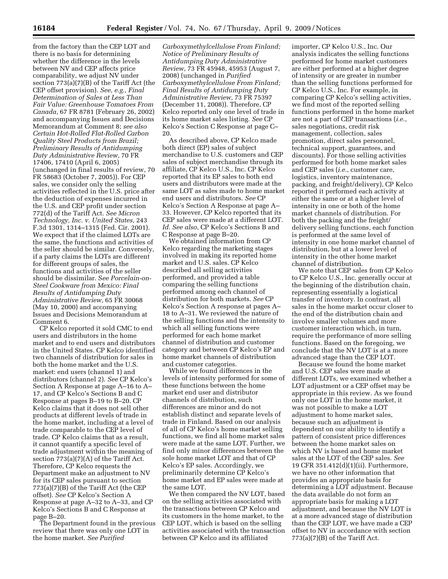from the factory than the CEP LOT and there is no basis for determining whether the difference in the levels between NV and CEP affects price comparability, we adjust NV under section 773(a)(7)(B) of the Tariff Act (the CEP offset provision). *See, e.g., Final Determination of Sales at Less Than Fair Value: Greenhouse Tomatoes From Canada*, 67 FR 8781 (February 26, 2002) and accompanying Issues and Decisions Memorandum at Comment 8; *see also Certain Hot-Rolled Flat-Rolled Carbon Quality Steel Products from Brazil; Preliminary Results of Antidumping Duty Administrative Review*, 70 FR 17406, 17410 (April 6, 2005) (unchanged in final results of review, 70 FR 58683 (October 7, 2005)). For CEP sales, we consider only the selling activities reflected in the U.S. price after the deduction of expenses incurred in the U.S. and CEP profit under section 772(d) of the Tariff Act. *See Micron Technology, Inc. v. United States*, 243 F.3d 1301, 1314–1315 (Fed. Cir. 2001). We expect that if the claimed LOTs are the same, the functions and activities of the seller should be similar. Conversely, if a party claims the LOTs are different for different groups of sales, the functions and activities of the seller should be dissimilar. S*ee Porcelain-on-Steel Cookware from Mexico: Final Results of Antidumping Duty Administrative Review*, 65 FR 30068 (May 10, 2000) and accompanying Issues and Decisions Memorandum at Comment 6.

CP Kelco reported it sold CMC to end users and distributors in the home market and to end users and distributors in the United States. CP Kelco identified two channels of distribution for sales in both the home market and the U.S. market: end users (channel 1) and distributors (channel 2). *See* CP Kelco's Section A Response at page A–16 to A– 17, and CP Kelco's Sections B and C Response at pages B–19 to B–20. CP Kelco claims that it does not sell other products at different levels of trade in the home market, including at a level of trade comparable to the CEP level of trade. CP Kelco claims that as a result, it cannot quantify a specific level of trade adjustment within the meaning of section  $773(a)(7)(A)$  of the Tariff Act. Therefore, CP Kelco requests the Department make an adjustment to NV for its CEP sales pursuant to section 773(a)(7)(B) of the Tariff Act (the CEP offset). *See* CP Kelco's Section A Response at page A–32 to A–33, and CP Kelco's Sections B and C Response at page B–20.

The Department found in the previous review that there was only one LOT in the home market. *See Purified* 

*Carboxymethylcellulose From Finland; Notice of Preliminary Results of Antidumping Duty Administrative Review*, 73 FR 45948, 45953 (August 7, 2008) (unchanged in *Purified Carboxymethylcellulose From Finland; Final Results of Antidumping Duty Administrative Review*, 73 FR 75397 (December 11, 2008)). Therefore, CP Kelco reported only one level of trade in its home market sales listing. *See* CP Kelco's Section C Response at page C– 20.

As described above, CP Kelco made both direct (EP) sales of subject merchandise to U.S. customers and CEP sales of subject merchandise through its affiliate, CP Kelco U.S., Inc. CP Kelco reported that its EP sales to both end users and distributors were made at the same LOT as sales made to home market end users and distributors. *See* CP Kelco's Section A Response at page A– 33. However, CP Kelco reported that its CEP sales were made at a different LOT. *Id. See also*, CP Kelco's Sections B and C Response at page B–20.

We obtained information from CP Kelco regarding the marketing stages involved in making its reported home market and U.S. sales. CP Kelco described all selling activities performed, and provided a table comparing the selling functions performed among each channel of distribution for both markets. *See* CP Kelco's Section A response at pages A– 18 to A–31. We reviewed the nature of the selling functions and the intensity to which all selling functions were performed for each home market channel of distribution and customer category and between CP Kelco's EP and home market channels of distribution and customer categories.

While we found differences in the levels of intensity performed for some of these functions between the home market end user and distributor channels of distribution, such differences are minor and do not establish distinct and separate levels of trade in Finland. Based on our analysis of all of CP Kelco's home market selling functions, we find all home market sales were made at the same LOT. Further, we find only minor differences between the sole home market LOT and that of CP Kelco's EP sales. Accordingly, we preliminarily determine CP Kelco's home market and EP sales were made at the same LOT.

We then compared the NV LOT, based on the selling activities associated with the transactions between CP Kelco and its customers in the home market, to the CEP LOT, which is based on the selling activities associated with the transaction between CP Kelco and its affiliated

importer, CP Kelco U.S., Inc. Our analysis indicates the selling functions performed for home market customers are either performed at a higher degree of intensity or are greater in number than the selling functions performed for CP Kelco U.S., Inc. For example, in comparing CP Kelco's selling activities, we find most of the reported selling functions performed in the home market are not a part of CEP transactions (*i.e.*, sales negotiations, credit risk management, collection, sales promotion, direct sales personnel, technical support, guarantees, and discounts). For those selling activities performed for both home market sales and CEP sales (*i.e.*, customer care, logistics, inventory maintenance, packing, and freight/delivery), CP Kelco reported it performed each activity at either the same or at a higher level of intensity in one or both of the home market channels of distribution. For both the packing and the freight/ delivery selling functions, each function is performed at the same level of intensity in one home market channel of distribution, but at a lower level of intensity in the other home market channel of distribution.

We note that CEP sales from CP Kelco to CP Kelco U.S., Inc. generally occur at the beginning of the distribution chain, representing essentially a logistical transfer of inventory. In contrast, all sales in the home market occur closer to the end of the distribution chain and involve smaller volumes and more customer interaction which, in turn, require the performance of more selling functions. Based on the foregoing, we conclude that the NV LOT is at a more advanced stage than the CEP LOT.

Because we found the home market and U.S. CEP sales were made at different LOTs, we examined whether a LOT adjustment or a CEP offset may be appropriate in this review. As we found only one LOT in the home market, it was not possible to make a LOT adjustment to home market sales, because such an adjustment is dependent on our ability to identify a pattern of consistent price differences between the home market sales on which NV is based and home market sales at the LOT of the CEP sales. *See*  19 CFR 351.412(d)(1)(ii). Furthermore, we have no other information that provides an appropriate basis for determining a LOT adjustment. Because the data available do not form an appropriate basis for making a LOT adjustment, and because the NV LOT is at a more advanced stage of distribution than the CEP LOT, we have made a CEP offset to NV in accordance with section  $773(a)(7)(B)$  of the Tariff Act.